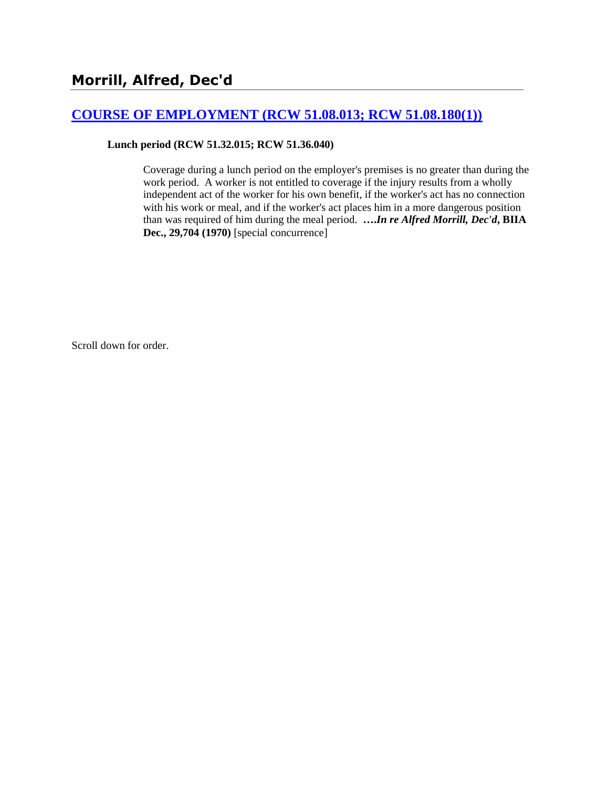# **[COURSE OF EMPLOYMENT \(RCW 51.08.013; RCW 51.08.180\(1\)\)](http://www.biia.wa.gov/SDSubjectIndex.html#COURSE_OF_EMPLOYMENT)**

**Lunch period (RCW 51.32.015; RCW 51.36.040)**

Coverage during a lunch period on the employer's premises is no greater than during the work period. A worker is not entitled to coverage if the injury results from a wholly independent act of the worker for his own benefit, if the worker's act has no connection with his work or meal, and if the worker's act places him in a more dangerous position than was required of him during the meal period. **….***In re Alfred Morrill, Dec'd***, BIIA Dec., 29,704 (1970)** [special concurrence]

Scroll down for order.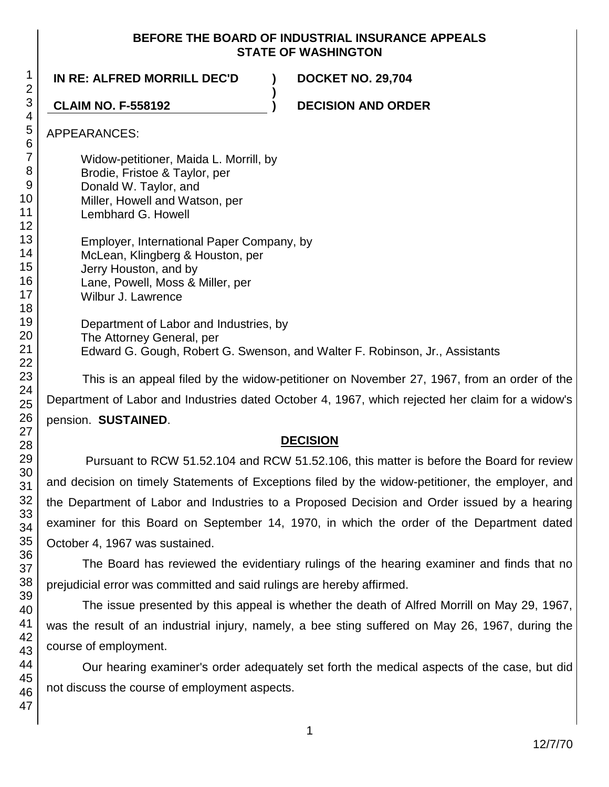### **BEFORE THE BOARD OF INDUSTRIAL INSURANCE APPEALS STATE OF WASHINGTON**

**)**

## **IN RE: ALFRED MORRILL DEC'D ) DOCKET NO. 29,704**

**CLAIM NO. F-558192 ) DECISION AND ORDER**

## APPEARANCES:

Widow-petitioner, Maida L. Morrill, by Brodie, Fristoe & Taylor, per

- Donald W. Taylor, and
- Miller, Howell and Watson, per
- Lembhard G. Howell

Employer, International Paper Company, by McLean, Klingberg & Houston, per Jerry Houston, and by Lane, Powell, Moss & Miller, per Wilbur J. Lawrence

Department of Labor and Industries, by The Attorney General, per Edward G. Gough, Robert G. Swenson, and Walter F. Robinson, Jr., Assistants

This is an appeal filed by the widow-petitioner on November 27, 1967, from an order of the

Department of Labor and Industries dated October 4, 1967, which rejected her claim for a widow's pension. **SUSTAINED**.

# **DECISION**

Pursuant to RCW 51.52.104 and RCW 51.52.106, this matter is before the Board for review and decision on timely Statements of Exceptions filed by the widow-petitioner, the employer, and the Department of Labor and Industries to a Proposed Decision and Order issued by a hearing examiner for this Board on September 14, 1970, in which the order of the Department dated October 4, 1967 was sustained.

The Board has reviewed the evidentiary rulings of the hearing examiner and finds that no prejudicial error was committed and said rulings are hereby affirmed.

The issue presented by this appeal is whether the death of Alfred Morrill on May 29, 1967, was the result of an industrial injury, namely, a bee sting suffered on May 26, 1967, during the course of employment.

Our hearing examiner's order adequately set forth the medical aspects of the case, but did not discuss the course of employment aspects.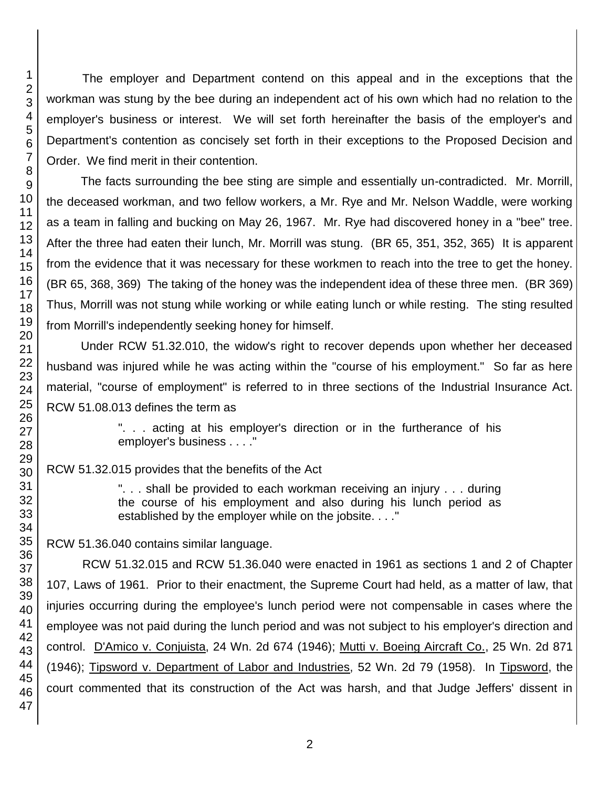The employer and Department contend on this appeal and in the exceptions that the workman was stung by the bee during an independent act of his own which had no relation to the employer's business or interest. We will set forth hereinafter the basis of the employer's and Department's contention as concisely set forth in their exceptions to the Proposed Decision and Order. We find merit in their contention.

The facts surrounding the bee sting are simple and essentially un-contradicted. Mr. Morrill, the deceased workman, and two fellow workers, a Mr. Rye and Mr. Nelson Waddle, were working as a team in falling and bucking on May 26, 1967. Mr. Rye had discovered honey in a "bee" tree. After the three had eaten their lunch, Mr. Morrill was stung. (BR 65, 351, 352, 365) It is apparent from the evidence that it was necessary for these workmen to reach into the tree to get the honey. (BR 65, 368, 369) The taking of the honey was the independent idea of these three men. (BR 369) Thus, Morrill was not stung while working or while eating lunch or while resting. The sting resulted from Morrill's independently seeking honey for himself.

Under RCW 51.32.010, the widow's right to recover depends upon whether her deceased husband was injured while he was acting within the "course of his employment." So far as here material, "course of employment" is referred to in three sections of the Industrial Insurance Act. RCW 51.08.013 defines the term as

> ". . . acting at his employer's direction or in the furtherance of his employer's business . . . ."

RCW 51.32.015 provides that the benefits of the Act

". . . shall be provided to each workman receiving an injury . . . during the course of his employment and also during his lunch period as established by the employer while on the jobsite. . . ."

RCW 51.36.040 contains similar language.

RCW 51.32.015 and RCW 51.36.040 were enacted in 1961 as sections 1 and 2 of Chapter 107, Laws of 1961. Prior to their enactment, the Supreme Court had held, as a matter of law, that injuries occurring during the employee's lunch period were not compensable in cases where the employee was not paid during the lunch period and was not subject to his employer's direction and control. D'Amico v. Conjuista, 24 Wn. 2d 674 (1946); Mutti v. Boeing Aircraft Co., 25 Wn. 2d 871 (1946); Tipsword v. Department of Labor and Industries, 52 Wn. 2d 79 (1958). In Tipsword, the court commented that its construction of the Act was harsh, and that Judge Jeffers' dissent in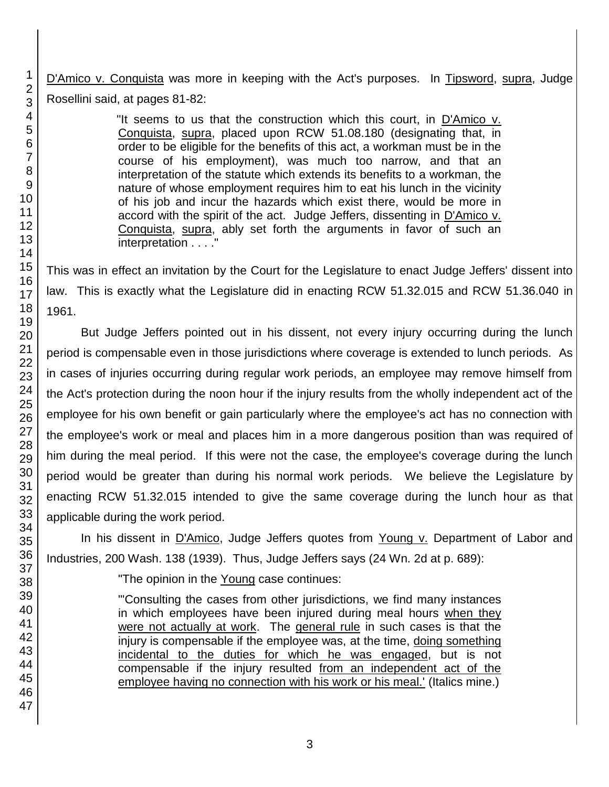D'Amico v. Conquista was more in keeping with the Act's purposes. In Tipsword, supra, Judge Rosellini said, at pages 81-82:

> "It seems to us that the construction which this court, in D'Amico v. Conquista, supra, placed upon RCW 51.08.180 (designating that, in order to be eligible for the benefits of this act, a workman must be in the course of his employment), was much too narrow, and that an interpretation of the statute which extends its benefits to a workman, the nature of whose employment requires him to eat his lunch in the vicinity of his job and incur the hazards which exist there, would be more in accord with the spirit of the act. Judge Jeffers, dissenting in D'Amico v. Conquista, supra, ably set forth the arguments in favor of such an interpretation . . . ."

This was in effect an invitation by the Court for the Legislature to enact Judge Jeffers' dissent into law. This is exactly what the Legislature did in enacting RCW 51.32.015 and RCW 51.36.040 in 1961.

But Judge Jeffers pointed out in his dissent, not every injury occurring during the lunch period is compensable even in those jurisdictions where coverage is extended to lunch periods. As in cases of injuries occurring during regular work periods, an employee may remove himself from the Act's protection during the noon hour if the injury results from the wholly independent act of the employee for his own benefit or gain particularly where the employee's act has no connection with the employee's work or meal and places him in a more dangerous position than was required of him during the meal period. If this were not the case, the employee's coverage during the lunch period would be greater than during his normal work periods. We believe the Legislature by enacting RCW 51.32.015 intended to give the same coverage during the lunch hour as that applicable during the work period.

In his dissent in D'Amico, Judge Jeffers quotes from Young v. Department of Labor and Industries, 200 Wash. 138 (1939). Thus, Judge Jeffers says (24 Wn. 2d at p. 689):

"The opinion in the Young case continues:

"'Consulting the cases from other jurisdictions, we find many instances in which employees have been injured during meal hours when they were not actually at work. The general rule in such cases is that the injury is compensable if the employee was, at the time, doing something incidental to the duties for which he was engaged, but is not compensable if the injury resulted from an independent act of the employee having no connection with his work or his meal.' (Italics mine.)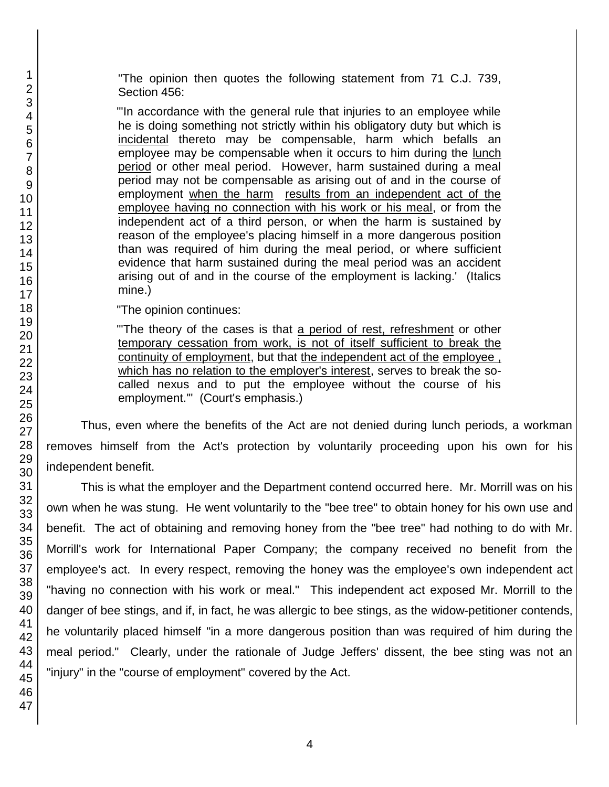"The opinion then quotes the following statement from 71 C.J. 739, Section 456:

"'In accordance with the general rule that injuries to an employee while he is doing something not strictly within his obligatory duty but which is incidental thereto may be compensable, harm which befalls an employee may be compensable when it occurs to him during the lunch period or other meal period. However, harm sustained during a meal period may not be compensable as arising out of and in the course of employment when the harm results from an independent act of the employee having no connection with his work or his meal, or from the independent act of a third person, or when the harm is sustained by reason of the employee's placing himself in a more dangerous position than was required of him during the meal period, or where sufficient evidence that harm sustained during the meal period was an accident arising out of and in the course of the employment is lacking.' (Italics mine.)

"The opinion continues:

"'The theory of the cases is that a period of rest, refreshment or other temporary cessation from work, is not of itself sufficient to break the continuity of employment, but that the independent act of the employee , which has no relation to the employer's interest, serves to break the socalled nexus and to put the employee without the course of his employment.'" (Court's emphasis.)

Thus, even where the benefits of the Act are not denied during lunch periods, a workman removes himself from the Act's protection by voluntarily proceeding upon his own for his independent benefit.

This is what the employer and the Department contend occurred here. Mr. Morrill was on his own when he was stung. He went voluntarily to the "bee tree" to obtain honey for his own use and benefit. The act of obtaining and removing honey from the "bee tree" had nothing to do with Mr. Morrill's work for International Paper Company; the company received no benefit from the employee's act. In every respect, removing the honey was the employee's own independent act "having no connection with his work or meal." This independent act exposed Mr. Morrill to the danger of bee stings, and if, in fact, he was allergic to bee stings, as the widow-petitioner contends, he voluntarily placed himself "in a more dangerous position than was required of him during the meal period." Clearly, under the rationale of Judge Jeffers' dissent, the bee sting was not an "injury" in the "course of employment" covered by the Act.

1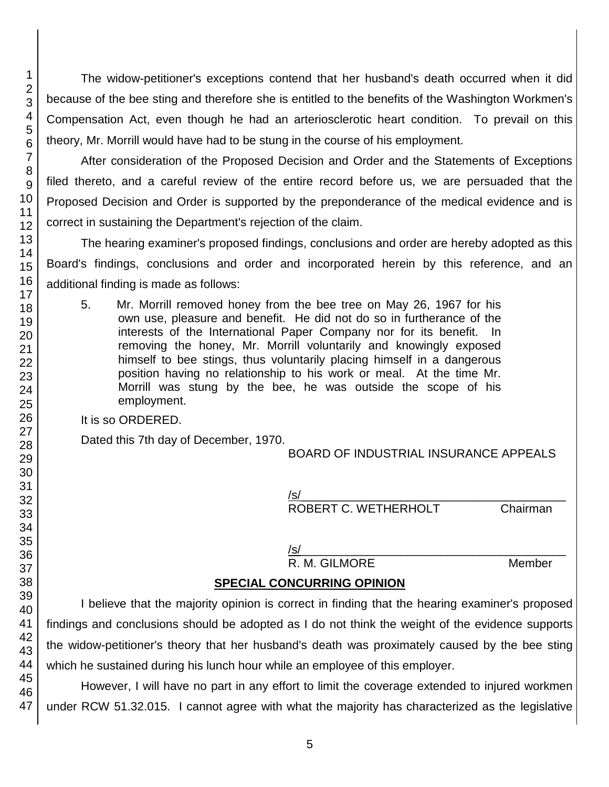The widow-petitioner's exceptions contend that her husband's death occurred when it did because of the bee sting and therefore she is entitled to the benefits of the Washington Workmen's Compensation Act, even though he had an arteriosclerotic heart condition. To prevail on this theory, Mr. Morrill would have had to be stung in the course of his employment.

After consideration of the Proposed Decision and Order and the Statements of Exceptions filed thereto, and a careful review of the entire record before us, we are persuaded that the Proposed Decision and Order is supported by the preponderance of the medical evidence and is correct in sustaining the Department's rejection of the claim.

The hearing examiner's proposed findings, conclusions and order are hereby adopted as this Board's findings, conclusions and order and incorporated herein by this reference, and an additional finding is made as follows:

5. Mr. Morrill removed honey from the bee tree on May 26, 1967 for his own use, pleasure and benefit. He did not do so in furtherance of the interests of the International Paper Company nor for its benefit. In removing the honey, Mr. Morrill voluntarily and knowingly exposed himself to bee stings, thus voluntarily placing himself in a dangerous position having no relationship to his work or meal. At the time Mr. Morrill was stung by the bee, he was outside the scope of his employment.

It is so ORDERED.

Dated this 7th day of December, 1970.

BOARD OF INDUSTRIAL INSURANCE APPEALS

/s/\_\_\_\_\_\_\_\_\_\_\_\_\_\_\_\_\_\_\_\_\_\_\_\_\_\_\_\_\_\_\_\_\_\_\_\_\_\_\_\_ ROBERT C. WETHERHOLT Chairman

#### /s/\_\_\_\_\_\_\_\_\_\_\_\_\_\_\_\_\_\_\_\_\_\_\_\_\_\_\_\_\_\_\_\_\_\_\_\_\_\_\_\_

R. M. GILMORE Member

# **SPECIAL CONCURRING OPINION**

I believe that the majority opinion is correct in finding that the hearing examiner's proposed findings and conclusions should be adopted as I do not think the weight of the evidence supports the widow-petitioner's theory that her husband's death was proximately caused by the bee sting which he sustained during his lunch hour while an employee of this employer.

However, I will have no part in any effort to limit the coverage extended to injured workmen under RCW 51.32.015. I cannot agree with what the majority has characterized as the legislative